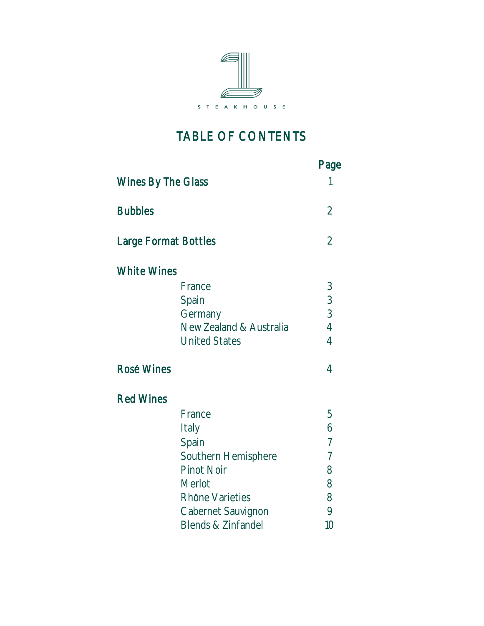

# TABLE OF CONTENTS

|                             |                                                                                                                                               | Page                                                                 |
|-----------------------------|-----------------------------------------------------------------------------------------------------------------------------------------------|----------------------------------------------------------------------|
| Wines By The Glass          |                                                                                                                                               |                                                                      |
| <b>Bubbles</b>              |                                                                                                                                               | $\overline{2}$                                                       |
| <b>Large Format Bottles</b> |                                                                                                                                               | $\overline{2}$                                                       |
| <b>White Wines</b>          |                                                                                                                                               |                                                                      |
|                             | France<br>Spain<br>Germany<br>New Zealand & Australia<br><b>United States</b>                                                                 | $\mathfrak{Z}$<br>3<br>3<br>$\overline{4}$<br>4                      |
| <b>Rosé Wines</b>           |                                                                                                                                               | 4                                                                    |
| <b>Red Wines</b>            |                                                                                                                                               |                                                                      |
|                             | France<br>Italy<br>Spain<br>Southern Hemisphere<br><b>Pinot Noir</b><br>Merlot<br>Rhône Varieties<br>Cabernet Sauvignon<br>Blends & Zinfandel | 5<br>6<br>$\overline{7}$<br>$\overline{7}$<br>8<br>8<br>8<br>9<br>10 |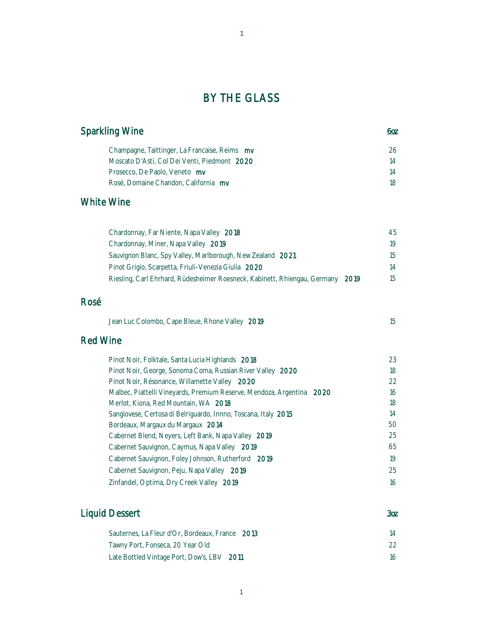### BY THE GLASS

| Sparkling Wine                                | 60z |
|-----------------------------------------------|-----|
| Champagne, Taittinger, La Francaise, Reims mv | 26  |
| Moscato D'Asti, Col Dei Venti, Piedmont 2020  | 14  |
| Prosecco, De Paolo, Veneto my                 | 14  |
| Rosé, Domaine Chandon, California my          | 18  |

#### White Wine

| Chardonnay, Far Niente, Napa Valley 2018                                       | 45 |
|--------------------------------------------------------------------------------|----|
| Chardonnay, Miner, Napa Valley 2019                                            | 19 |
| Sauvignon Blanc, Spy Valley, Marlborough, New Zealand 2021                     | 15 |
| Pinot Grigio, Scarpetta, Friuli-Venezia Giulia 2020                            | 14 |
| Riesling, Carl Ehrhard, Rüdesheimer Roesneck, Kabinett, Rhiengau, Germany 2019 | 15 |

#### Rosé

| Jean Luc Colombo, Cape Bleue, Rhone Valley 2019 |  |
|-------------------------------------------------|--|
|-------------------------------------------------|--|

#### Red Wine

| Pinot Noir, Folktale, Santa Lucia Highlands 2018                      | 23 |
|-----------------------------------------------------------------------|----|
| Pinot Noir, George, Sonoma Coma, Russian River Valley 2020            | 18 |
| Pinot Noir, Résonance, Willamette Valley 2020                         | 22 |
| Malbec, Piattelli Vineyards, Premium Reserve, Mendoza, Argentina 2020 | 16 |
| Merlot, Kiona, Red Mountain, WA 2018                                  | 18 |
| Sangiovese, Certosa di Belriguardo, Innno, Toscana, Italy 2015        | 14 |
| Bordeaux, Margaux du Margaux 2014                                     | 50 |
| Cabernet Blend, Neyers, Left Bank, Napa Valley 2019                   | 25 |
| Cabernet Sauvignon, Caymus, Napa Valley 2019                          | 65 |
| Cabernet Sauvignon, Foley Johnson, Rutherford 2019                    | 19 |
| Cabernet Sauvignon, Peju, Napa Valley 2019                            | 25 |
| Zinfandel, Optima, Dry Creek Valley 2019                              | 16 |

### Liquid Dessert *3oz*

| Sauternes, La Fleur d'Or, Bordeaux, France 2013 |     |
|-------------------------------------------------|-----|
| Tawny Port, Fonseca, 20 Year Old                |     |
| Late Bottled Vintage Port, Dow's, LBV 2011      | 16. |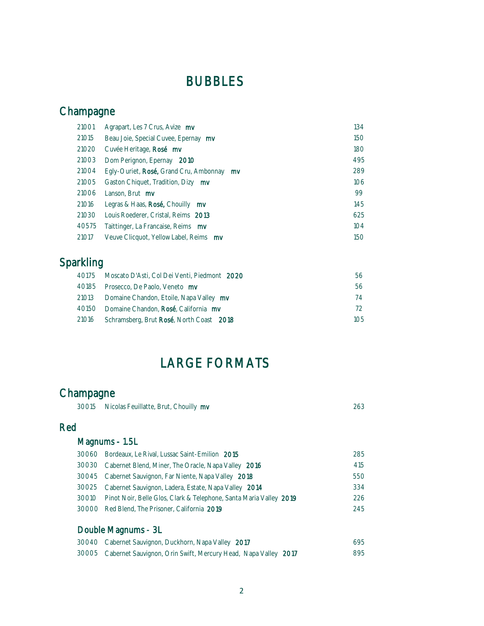## BUBBLES

## Champagne

| 21001 | Agrapart, Les 7 Crus, Avize mv                     | 134 |
|-------|----------------------------------------------------|-----|
| 21015 | Beau Joie, Special Cuvee, Epernay mv               | 150 |
| 21020 | Cuvée Heritage, Rosé mv                            | 180 |
| 21003 | Dom Perignon, Epernay<br>2010                      | 495 |
| 21004 | Egly-Ouriet, Rosé, Grand Cru, Ambonnay<br>mv       | 289 |
| 21005 | Gaston Chiquet, Tradition, Dizy mv                 | 106 |
| 21006 | Lanson, Brut mv                                    | 99  |
| 21016 | Legras & Haas, $\text{Rosé},$ Chouilly $\text{mv}$ | 145 |
| 21030 | Louis Roederer, Cristal, Reims 2013                | 625 |
| 40575 | Taittinger, La Francaise, Reims mv                 | 104 |
| 21017 | Veuve Clicquot, Yellow Label, Reims my             | 150 |

## Sparkling

| 40175 Moscato D'Asti, Col Dei Venti, Piedmont 2020 | 56  |
|----------------------------------------------------|-----|
| 40185 Prosecco, De Paolo, Veneto mv                | 56  |
| 21013 Domaine Chandon, Etoile, Napa Valley mv      | 74  |
| 40150 Domaine Chandon, Rosé, California my         | 72  |
| 21016 Schramsberg, Brut Rosé, North Coast 2018     | 105 |

# LARGE FORMATS

### Champagne

| 30015 | Nicolas Feuillatte, Brut, Chouilly mv | 263 |
|-------|---------------------------------------|-----|
|-------|---------------------------------------|-----|

#### Red

### Magnums - 1.5L

| 30060 Bordeaux, Le Rival, Lussac Saint-Emilion 2015                      | 285  |
|--------------------------------------------------------------------------|------|
| 30030 Cabernet Blend, Miner, The Oracle, Napa Valley 2016                | 415  |
| 30045 Cabernet Sauvignon, Far Niente, Napa Valley 2018                   | 550  |
| 30025 Cabernet Sauvignon, Ladera, Estate, Napa Valley 2014               | 334  |
| 30010 Pinot Noir, Belle Glos, Clark & Telephone, Santa Maria Valley 2019 | 226. |
| 30000 Red Blend, The Prisoner, California 2019                           | 245  |
|                                                                          |      |

### Double Magnums - 3L

| 30040 Cabernet Sauvignon, Duckhorn, Napa Valley 2017                 | 695 |
|----------------------------------------------------------------------|-----|
| 30005 Cabernet Sauvignon, Orin Swift, Mercury Head, Napa Valley 2017 | 895 |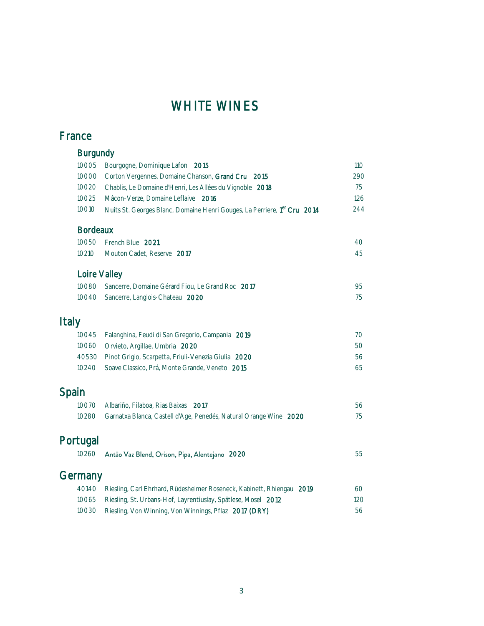## WHITE WINES

### France

|              | <b>Burgundy</b> |                                                                                      |     |
|--------------|-----------------|--------------------------------------------------------------------------------------|-----|
|              | 10005           | Bourgogne, Dominique Lafon 2015                                                      | 110 |
|              | 10000           | Corton Vergennes, Domaine Chanson, Grand Cru 2015                                    | 290 |
|              | 10020           | Chablis, Le Domaine d'Henri, Les Allées du Vignoble 2018                             | 75  |
|              | 10025           | Mâcon-Verze, Domaine Leflaive 2016                                                   | 126 |
|              | 10010           | Nuits St. Georges Blanc, Domaine Henri Gouges, La Perriere, 1 <sup>er</sup> Cru 2014 | 244 |
|              | <b>Bordeaux</b> |                                                                                      |     |
|              | 10050           | French Blue 2021                                                                     | 40  |
|              | 10210           | Mouton Cadet, Reserve 2017                                                           | 45  |
|              | Loire Valley    |                                                                                      |     |
|              | 10080           | Sancerre, Domaine Gérard Fiou, Le Grand Roc 2017                                     | 95  |
|              | 10040           | Sancerre, Langlois-Chateau 2020                                                      | 75  |
| <b>Italy</b> |                 |                                                                                      |     |
|              | 10045           | Falanghina, Feudi di San Gregorio, Campania 2019                                     | 70  |
|              | 10060           | Orvieto, Argillae, Umbria 2020                                                       | 50  |
|              | 40530           | Pinot Grigio, Scarpetta, Friuli-Venezia Giulia 2020                                  | 56  |
|              | 10240           | Soave Classico, Prá, Monte Grande, Veneto 2015                                       | 65  |
| Spain        |                 |                                                                                      |     |
|              | 10070           | Albariño, Filaboa, Rias Baixas 2017                                                  | 56  |
|              | 10280           | Garnatxa Blanca, Castell d'Age, Penedés, Natural Orange Wine 2020                    | 75  |
|              | Portugal        |                                                                                      |     |
|              | 10260           | Antão Vaz Blend, Orison, Pipa, Alentejano 2020                                       | 55  |
|              | Germany         |                                                                                      |     |
|              | 40140           | Riesling, Carl Ehrhard, Rüdesheimer Roseneck, Kabinett, Rhiengau 2019                | 60  |
|              | 10065           | Riesling, St. Urbans-Hof, Layrentiuslay, Spätlese, Mosel 2012                        | 120 |
|              | 10030           | Riesling, Von Winning, Von Winnings, Pflaz 2017 (DRY)                                | 56  |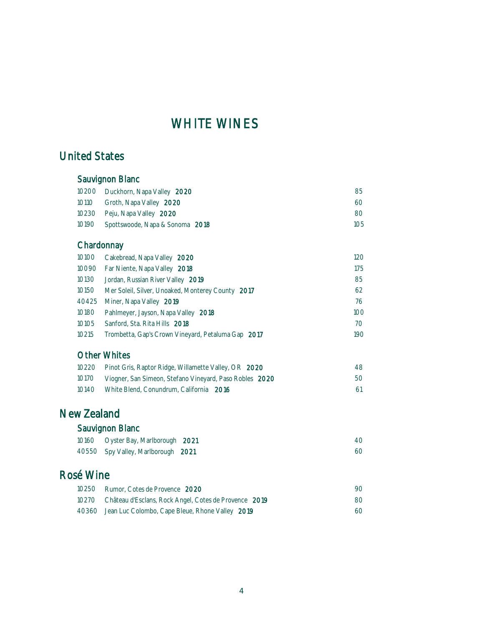### WHITE WINES

### United States

#### Sauvignon Blanc 10200 Duckhorn, Napa Valley 2020 85 10110 Groth, Napa Valley 2020 60 10230 Peju, Napa Valley 2020 80 10190 Spottswoode, Napa & Sonoma 2018 105 **Chardonnay** 10100 Cakebread, Napa Valley 2020 120 10090 Far Niente, Napa Valley 2018 175 10130 Jordan, Russian River Valley 2019 85 10150 Mer Soleil, Silver, Unoaked, Monterey County 2017 62 40425 Miner, Napa Valley 2019 76 10180 Pahlmeyer, Jayson, Napa Valley 2018 100 10105 Sanford, Sta. Rita Hills 2018 70 10215 Trombetta, Gap's Crown Vineyard, Petaluma Gap 2017 190

#### Other Whites

|       | 10220 Pinot Gris, Raptor Ridge, Willamette Valley, OR 2020 | 48 |
|-------|------------------------------------------------------------|----|
| 10170 | Viogner, San Simeon, Stefano Vineyard, Paso Robles 2020    | 50 |
| 10140 | White Blend, Conundrum, California 2016                    | 61 |

### New Zealand

| Sauvignon Blanc |  |
|-----------------|--|
|-----------------|--|

| 10160 Oyster Bay, Marlborough 2021 |  |
|------------------------------------|--|
| 40550 Spy Valley, Marlborough 2021 |  |

#### Rosé Wine

| 10250 Rumor, Cotes de Provence 2020                         | 90.  |
|-------------------------------------------------------------|------|
| 10270 Château d'Esclans, Rock Angel, Cotes de Provence 2019 | -80- |
| 40360 Jean Luc Colombo, Cape Bleue, Rhone Valley 2019       | 60   |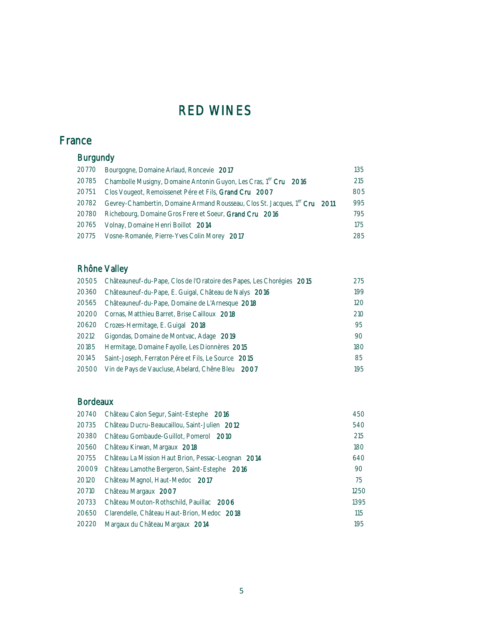### France

### Burgundy

|       | 20770 Bourgogne, Domaine Arlaud, Roncevie 2017                                         | 135 |
|-------|----------------------------------------------------------------------------------------|-----|
|       | 20785 Chambolle Musigny, Domaine Antonin Guyon, Les Cras, 1 <sup>er</sup> Cru 2016     | 215 |
| 20751 | Clos Vougeot, Remoissenet Pére et Fils, Grand Cru 2007                                 | 805 |
| 20782 | Gevrey-Chambertin, Domaine Armand Rousseau, Clos St. Jacques, 1 <sup>er</sup> Cru 2011 | 995 |
|       | 20780 Richebourg, Domaine Gros Frere et Soeur, Grand Cru 2016                          | 795 |
| 20765 | Volnay, Domaine Henri Boillot 2014                                                     | 175 |
|       | 20775 Vosne-Romanée, Pierre-Yves Colin Morey 2017                                      | 285 |
|       |                                                                                        |     |

### Rhône Valley

|                                                     | 275                                                                                                                                                                                                                                                                                     |
|-----------------------------------------------------|-----------------------------------------------------------------------------------------------------------------------------------------------------------------------------------------------------------------------------------------------------------------------------------------|
|                                                     | 199                                                                                                                                                                                                                                                                                     |
|                                                     | 120                                                                                                                                                                                                                                                                                     |
|                                                     | 210                                                                                                                                                                                                                                                                                     |
|                                                     | 95                                                                                                                                                                                                                                                                                      |
| Gigondas, Domaine de Montvac, Adage 2019            | 90                                                                                                                                                                                                                                                                                      |
| Hermitage, Domaine Fayolle, Les Dionnères 2015      | 180                                                                                                                                                                                                                                                                                     |
| Saint-Joseph, Ferraton Pére et Fils, Le Source 2015 | 85                                                                                                                                                                                                                                                                                      |
| Vin de Pays de Vaucluse, Abelard, Chêne Bleu 2007   | 195                                                                                                                                                                                                                                                                                     |
|                                                     | 20505 Châteauneuf-du-Pape, Clos de l'Oratoire des Papes, Les Chorégies 2015<br>Châteauneuf-du-Pape, E. Guigal, Château de Nalys 2016<br>20565 Châteauneuf-du-Pape, Domaine de L'Arnesque 2018<br>20200 Cornas, Matthieu Barret, Brise Cailloux 2018<br>Crozes-Hermitage, E. Guigal 2018 |

#### Bordeaux

| 20740 | Château Calon Segur, Saint-Estephe 2016            | 450  |
|-------|----------------------------------------------------|------|
| 20735 | Château Ducru-Beaucaillou, Saint-Julien 2012       | 540  |
| 20380 | Château Gombaude-Guillot, Pomerol 2010             | 215  |
| 20560 | Château Kirwan, Margaux 2018                       | 180  |
| 20755 | Château La Mission Haut Brion, Pessac-Leognan 2014 | 640  |
| 20009 | Château Lamothe Bergeron, Saint-Estephe 2016       | 90   |
| 20120 | Château Magnol, Haut-Medoc 2017                    | 75   |
| 20710 | Château Margaux 2007                               | 1250 |
| 20733 | Château Mouton-Rothschild, Pauillac 2006           | 1395 |
| 20650 | Clarendelle, Château Haut-Brion, Medoc 2018        | 115  |
| 20220 | Margaux du Château Margaux 2014                    | 195  |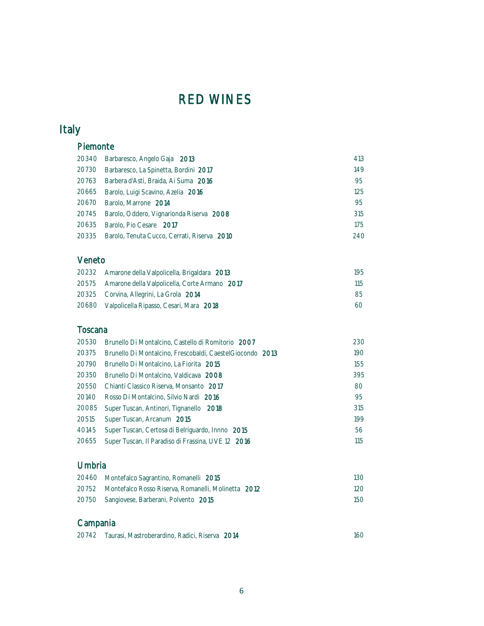## Italy

#### Piemonte

|       | 20340 Barbaresco, Angelo Gaja 2013                | 413 |
|-------|---------------------------------------------------|-----|
| 20730 | Barbaresco, La Spinetta, Bordini 2017             | 149 |
|       | 20763 Barbera d'Asti, Braida, Ai Suma 2016        | 95  |
|       | 20665 Barolo, Luigi Scavino, Azelia 2016          | 125 |
| 20670 | Barolo, Marrone 2014                              | 95  |
|       | 20745 Barolo, Oddero, Vignarionda Riserva 2008    | 315 |
| 20635 | Barolo, Pio Cesare 2017                           | 175 |
|       | 20335 Barolo, Tenuta Cucco, Cerrati, Riserva 2010 | 240 |

#### Veneto

| 20232 Amarone della Valpolicella, Brigaldara 2013   | 195     |
|-----------------------------------------------------|---------|
| 20575 Amarone della Valpolicella, Corte Armano 2017 | $115 -$ |
| 20325 Corvina, Allegrini, La Grola 2014             | -85     |
| 20680 Valpolicella Ripasso, Cesari, Mara 2018       | 60      |

#### Toscana

| 20530 | Brunello Di Montalcino, Castello di Romitorio 2007         | 230 |
|-------|------------------------------------------------------------|-----|
| 20375 | Brunello Di Montalcino, Frescobaldi, Caestel Giocondo 2013 | 190 |
| 20790 | Brunello Di Montalcino, La Fiorita 2015                    | 155 |
| 20350 | Brunello Di Montalcino, Valdicava 2008                     | 395 |
| 20550 | Chianti Classico Riserva, Monsanto 2017                    | 80  |
| 20140 | Rosso Di Montalcino, Silvio Nardi 2016                     | 95  |
| 20085 | Super Tuscan, Antinori, Tignanello 2018                    | 315 |
| 20515 | Super Tuscan, Arcanum 2015                                 | 199 |
| 40145 | Super Tuscan, Certosa di Belriguardo, Innno 2015           | 56  |
| 20655 | Super Tuscan, Il Paradiso di Frassina, UVE 12 2016         | 115 |

#### Umbria

| 20460 Montefalco Sagrantino, Romanelli 2015               | 13O.    |
|-----------------------------------------------------------|---------|
| 20752 Montefalco Rosso Riserva, Romanelli, Molinetta 2012 | $120 -$ |
| 20750 Sangiovese, Barberani, Polvento 2015                | 15O     |

### Campania

| 20742 Taurasi, Mastroberardino, Radici, Riserva 2014 |  |
|------------------------------------------------------|--|
|                                                      |  |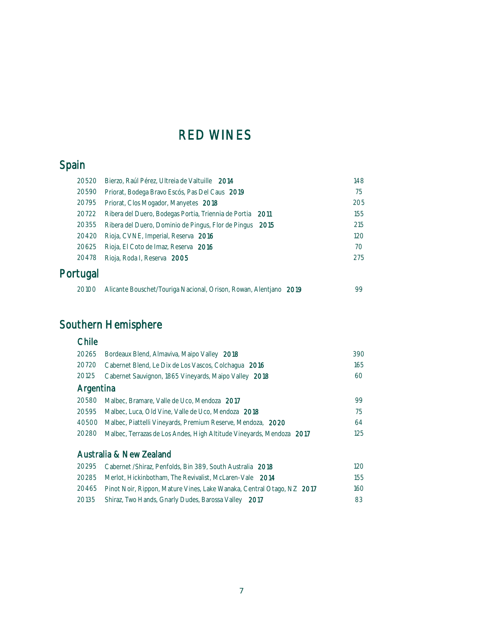## Spain

| 20520    | Bierzo, Raúl Pérez, Ultreia de Valtuille 2014                     | 148 |
|----------|-------------------------------------------------------------------|-----|
| 20590    | Priorat, Bodega Bravo Escós, Pas Del Caus 2019                    | 75  |
| 20795    | Priorat, Clos Mogador, Manyetes 2018                              | 205 |
| 20722    | Ribera del Duero, Bodegas Portia, Triennia de Portia 2011         | 155 |
| 20355    | Ribera del Duero, Dominio de Pingus, Flor de Pingus 2015          | 215 |
| 20420    | Rioja, CVNE, Imperial, Reserva 2016                               | 120 |
| 20625    | Rioja, El Coto de Imaz, Reserva 2016                              | 70  |
| 20478    | Rioja, Roda I, Reserva 2005                                       | 275 |
| Portugal |                                                                   |     |
| 20100    | Alicante Bouschet/Touriga Nacional, Orison, Rowan, Alentiano 2019 | 99  |

## Southern Hemisphere

| Chile     |                                                                       |     |
|-----------|-----------------------------------------------------------------------|-----|
| 20265     | Bordeaux Blend, Almaviva, Maipo Valley 2018                           | 390 |
| 20720     | Cabernet Blend, Le Dix de Los Vascos, Colchagua 2016                  | 165 |
| 20125     | Cabernet Sauvignon, 1865 Vineyards, Maipo Valley 2018                 | 60  |
| Argentina |                                                                       |     |
| 20580     | Malbec, Bramare, Valle de Uco, Mendoza 2017                           | 99  |
| 20595     | Malbec, Luca, Old Vine, Valle de Uco, Mendoza 2018                    | 75  |
| 40500     | Malbec, Piattelli Vineyards, Premium Reserve, Mendoza, 2020           | 64  |
| 20280     | Malbec, Terrazas de Los Andes, High Altitude Vineyards, Mendoza 2017  | 125 |
|           |                                                                       |     |
|           | Australia & New Zealand                                               |     |
| 20295     | Cabernet / Shiraz, Penfolds, Bin 389, South Australia 2018            | 120 |
| 20285     | Merlot, Hickinbotham, The Revivalist, McLaren-Vale 2014               | 155 |
| 20465     | Pinot Noir, Rippon, Mature Vines, Lake Wanaka, Central Otago, NZ 2017 | 160 |

| 20135 Shiraz, Two Hands, Gnarly Dudes, Barossa Valley 2017 |  |
|------------------------------------------------------------|--|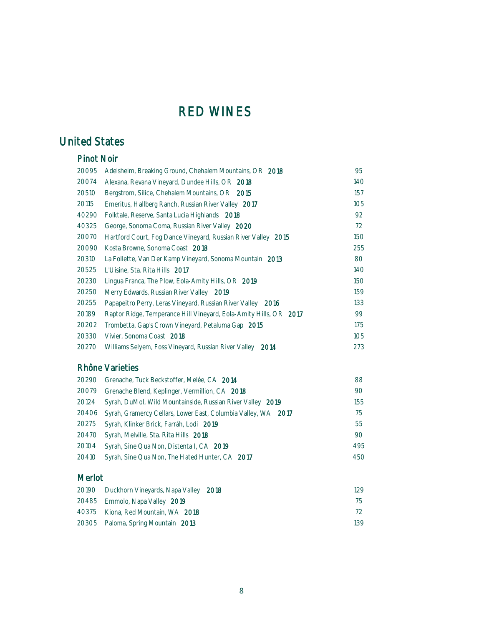### United States

| <b>Pinot Noir</b> |                                                                   |     |
|-------------------|-------------------------------------------------------------------|-----|
| 20095             | Adelsheim, Breaking Ground, Chehalem Mountains, OR 2018           | 95  |
| 20074             | Alexana, Revana Vineyard, Dundee Hills, OR 2018                   | 140 |
| 20510             | Bergstrom, Silice, Chehalem Mountains, OR 2015                    | 157 |
| 20115             | Emeritus, Hallberg Ranch, Russian River Valley 2017               | 105 |
| 40290             | Folktale, Reserve, Santa Lucia Highlands 2018                     | 92  |
| 40325             | George, Sonoma Coma, Russian River Valley 2020                    | 72  |
| 20070             | Hartford Court, Fog Dance Vineyard, Russian River Valley 2015     | 150 |
| 20090             | Kosta Browne, Sonoma Coast 2018                                   | 255 |
| 20310             | La Follette, Van Der Kamp Vineyard, Sonoma Mountain 2013          | 80  |
| 20525             | L'Uisine, Sta. Rita Hills 2017                                    | 140 |
| 20230             | Lingua Franca, The Plow, Eola-Amity Hills, OR 2019                | 150 |
| 20250             | Merry Edwards, Russian River Valley 2019                          | 159 |
| 20255             | Papapeitro Perry, Leras Vineyard, Russian River Valley 2016       | 133 |
| 20189             | Raptor Ridge, Temperance Hill Vineyard, Eola-Amity Hills, OR 2017 | 99  |
| 20202             | Trombetta, Gap's Crown Vineyard, Petaluma Gap 2015                | 175 |
| 20330             | Vivier, Sonoma Coast 2018                                         | 105 |
| 20270             | Williams Selyem, Foss Vineyard, Russian River Valley<br>2014      | 273 |

#### Rhône Varieties

| 20290 Grenache, Tuck Beckstoffer, Melée, CA 2014                    | 88  |
|---------------------------------------------------------------------|-----|
| 20079 Grenache Blend, Keplinger, Vermillion, CA 2018                | 90  |
| 20124 Syrah, DuMol, Wild Mountainside, Russian River Valley 2019    | 155 |
| 20406 Syrah, Gramercy Cellars, Lower East, Columbia Valley, WA 2017 | 75  |
| 20275 Syrah, Klinker Brick, Farráh, Lodi 2019                       | 55  |
| 20470 Syrah, Melville, Sta. Rita Hills 2018                         | 90  |
| 20104 Syrah, Sine Qua Non, Distenta I, CA 2019                      | 495 |
| 20410 Syrah, Sine Qua Non, The Hated Hunter, CA 2017                | 450 |
|                                                                     |     |

#### Merlot

|                                                                                                            | 129                                        |
|------------------------------------------------------------------------------------------------------------|--------------------------------------------|
|                                                                                                            | 75                                         |
|                                                                                                            | 72                                         |
|                                                                                                            | 139                                        |
| 20485 Emmolo, Napa Valley 2019<br>40375 Kiona, Red Mountain, WA 2018<br>20305 Paloma, Spring Mountain 2013 | 20190 Duckhorn Vineyards, Napa Valley 2018 |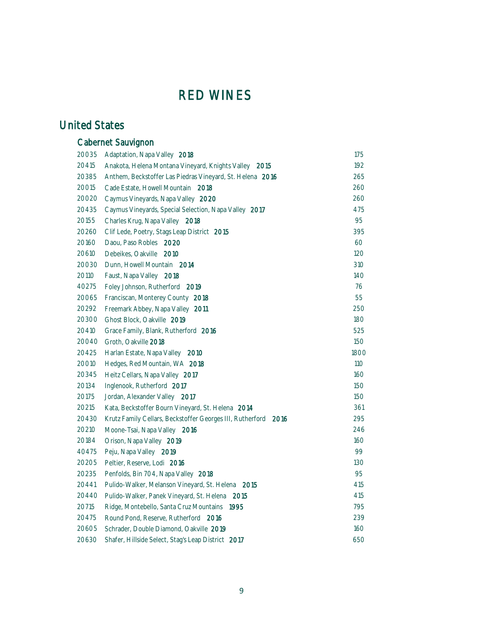### United States

|       | Cabernet Sauvignon                                                |      |
|-------|-------------------------------------------------------------------|------|
| 20035 | Adaptation, Napa Valley 2018                                      | 175  |
| 20415 | Anakota, Helena Montana Vineyard, Knights Valley 2015             | 192  |
| 20385 | Anthem, Beckstoffer Las Piedras Vineyard, St. Helena 2016         | 265  |
| 20015 | Cade Estate, Howell Mountain 2018                                 | 260  |
| 20020 | Caymus Vineyards, Napa Valley 2020                                | 260  |
| 20435 | Caymus Vineyards, Special Selection, Napa Valley 2017             | 475  |
| 20155 | Charles Krug, Napa Valley 2018                                    | 95   |
| 20260 | Clif Lede, Poetry, Stags Leap District 2015                       | 395  |
| 20160 | Daou, Paso Robles 2020                                            | 60   |
| 20610 | Debeikes, Oakville<br>- 2010                                      | 120  |
| 20030 | Dunn, Howell Mountain 2014                                        | 310  |
| 20110 | Faust, Napa Valley 2018                                           | 140  |
| 40275 | Foley Johnson, Rutherford 2019                                    | 76   |
| 20065 | Franciscan, Monterey County 2018                                  | 55   |
| 20292 | Freemark Abbey, Napa Valley 2011                                  | 250  |
| 20300 | Ghost Block, Oakville 2019                                        | 180  |
| 20410 | Grace Family, Blank, Rutherford 2016                              | 525  |
| 20040 | Groth, Oakville 2018                                              | 150  |
| 20425 | Harlan Estate, Napa Valley 2010                                   | 1800 |
| 20010 | Hedges, Red Mountain, WA 2018                                     | 110  |
| 20345 | Heitz Cellars, Napa Valley 2017                                   | 160  |
| 20134 | Inglenook, Rutherford 2017                                        | 150  |
| 20175 | Jordan, Alexander Valley 2017                                     | 150  |
| 20215 | Kata, Beckstoffer Bourn Vineyard, St. Helena 2014                 | 361  |
| 20430 | Krutz Family Cellars, Beckstoffer Georges III, Rutherford<br>2016 | 295  |
| 20210 | Moone-Tsai, Napa Valley 2016                                      | 246  |
| 20184 | Orison, Napa Valley 2019                                          | 160  |
| 40475 | Peju, Napa Valley 2019                                            | 99   |
| 20205 | Peltier, Reserve, Lodi 2016                                       | 130  |
| 20235 | Penfolds, Bin 704, Napa Valley 2018                               | 95   |
| 20441 | Pulido-Walker, Melanson Vineyard, St. Helena<br>2015              | 415  |
| 20440 | Pulido-Walker, Panek Vineyard, St. Helena 2015                    | 415  |
| 20715 | Ridge, Montebello, Santa Cruz Mountains 1995                      | 795  |
| 20475 | Round Pond, Reserve, Rutherford 2016                              | 239  |
| 20605 | Schrader, Double Diamond, Oakville 2019                           | 160  |
| 20630 | Shafer, Hillside Select, Stag's Leap District 2017                | 650  |